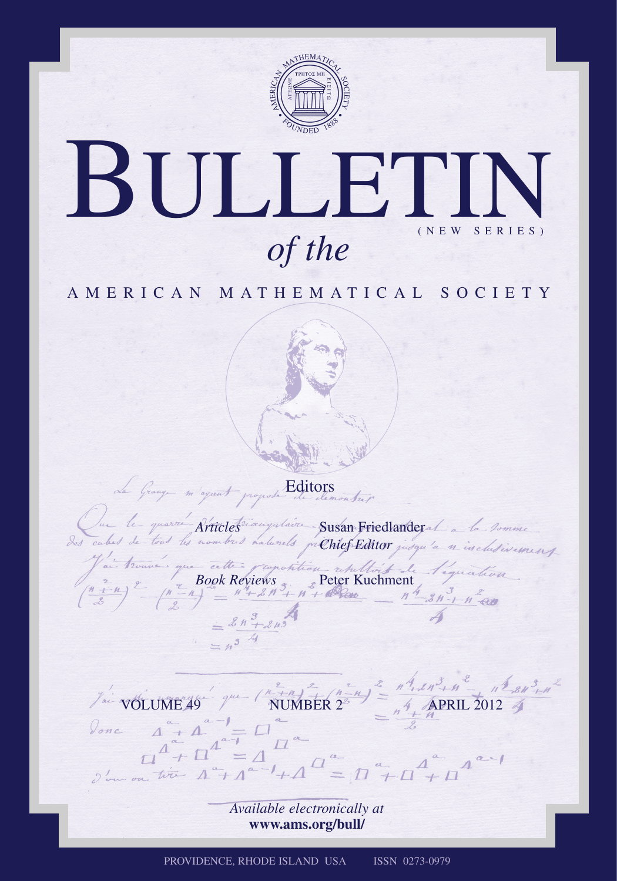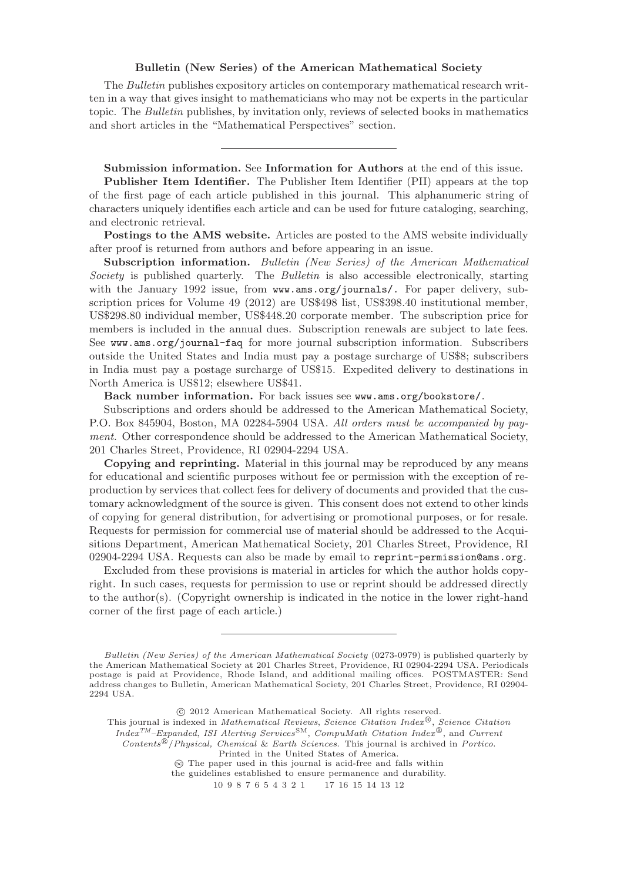### **Bulletin (New Series) of the American Mathematical Society**

The Bulletin publishes expository articles on contemporary mathematical research written in a way that gives insight to mathematicians who may not be experts in the particular topic. The Bulletin publishes, by invitation only, reviews of selected books in mathematics and short articles in the "Mathematical Perspectives" section.

**Submission information.** See **Information for Authors** at the end of this issue.

**Publisher Item Identifier.** The Publisher Item Identifier (PII) appears at the top of the first page of each article published in this journal. This alphanumeric string of characters uniquely identifies each article and can be used for future cataloging, searching, and electronic retrieval.

**Postings to the AMS website.** Articles are posted to the AMS website individually after proof is returned from authors and before appearing in an issue.

**Subscription information.** Bulletin (New Series) of the American Mathematical Society is published quarterly. The Bulletin is also accessible electronically, starting with the January 1992 issue, from www.ams.org/journals/. For paper delivery, subscription prices for Volume 49 (2012) are US\$498 list, US\$398.40 institutional member, US\$298.80 individual member, US\$448.20 corporate member. The subscription price for members is included in the annual dues. Subscription renewals are subject to late fees. See www.ams.org/journal-faq for more journal subscription information. Subscribers outside the United States and India must pay a postage surcharge of US\$8; subscribers in India must pay a postage surcharge of US\$15. Expedited delivery to destinations in North America is US\$12; elsewhere US\$41.

**Back number information.** For back issues see www.ams.org/bookstore/.

Subscriptions and orders should be addressed to the American Mathematical Society, P.O. Box 845904, Boston, MA 02284-5904 USA. All orders must be accompanied by payment. Other correspondence should be addressed to the American Mathematical Society, 201 Charles Street, Providence, RI 02904-2294 USA.

**Copying and reprinting.** Material in this journal may be reproduced by any means for educational and scientific purposes without fee or permission with the exception of reproduction by services that collect fees for delivery of documents and provided that the customary acknowledgment of the source is given. This consent does not extend to other kinds of copying for general distribution, for advertising or promotional purposes, or for resale. Requests for permission for commercial use of material should be addressed to the Acquisitions Department, American Mathematical Society, 201 Charles Street, Providence, RI 02904-2294 USA. Requests can also be made by email to reprint-permission@ams.org.

Excluded from these provisions is material in articles for which the author holds copyright. In such cases, requests for permission to use or reprint should be addressed directly to the author(s). (Copyright ownership is indicated in the notice in the lower right-hand corner of the first page of each article.)

Contents<sup>®</sup>/Physical, Chemical & Earth Sciences. This journal is archived in Portico.

Printed in the United States of America.

<sup>∞</sup> The paper used in this journal is acid-free and falls within

the guidelines established to ensure permanence and durability.

10 9 8 7 6 5 4 3 2 1 17 16 15 14 13 12

Bulletin (New Series) of the American Mathematical Society (0273-0979) is published quarterly by the American Mathematical Society at 201 Charles Street, Providence, RI 02904-2294 USA. Periodicals postage is paid at Providence, Rhode Island, and additional mailing offices. POSTMASTER: Send address changes to Bulletin, American Mathematical Society, 201 Charles Street, Providence, RI 02904- 2294 USA.

<sup>© 2012</sup> American Mathematical Society. All rights reserved.

This journal is indexed in *Mathematical Reviews*, *Science Citation Index*<sup>®</sup>, *Science Citation* 

 $Index^{TM}-Expanded, ISI$  Alerting Services<sup>SM</sup>, CompuMath Citation Index<sup>®</sup>, and Current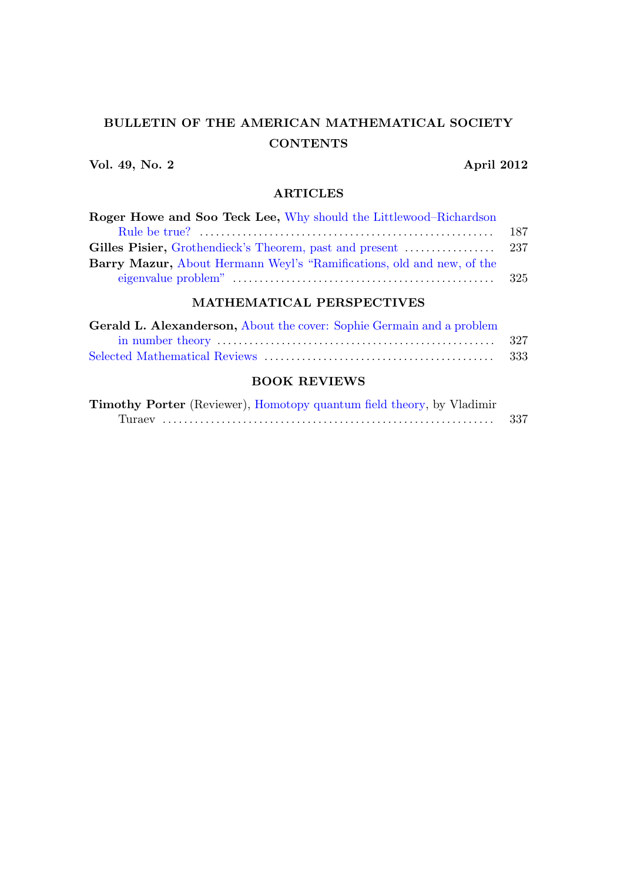# BULLETIN OF THE AMERICAN MATHEMATICAL SOCIETY **CONTENTS**

Vol. 49, No. 2 April 2012

## ARTICLES

| <b>Roger Howe and Soo Teck Lee, Why should the Littlewood-Richardson</b>                              |     |
|-------------------------------------------------------------------------------------------------------|-----|
|                                                                                                       | 187 |
|                                                                                                       |     |
| Barry Mazur, About Hermann Weyl's "Ramifications, old and new, of the                                 |     |
| eigenvalue problem" $\dots\dots\dots\dots\dots\dots\dots\dots\dots\dots\dots\dots\dots\dots\dots$ 325 |     |

## MATHEMATICAL PERSPECTIVES

| <b>Gerald L. Alexanderson, About the cover: Sophie Germain and a problem</b> |       |
|------------------------------------------------------------------------------|-------|
|                                                                              |       |
|                                                                              | - 333 |

## BOOK REVIEWS

| <b>Timothy Porter</b> (Reviewer), Homotopy quantum field theory, by Vladimir |  |  |     |
|------------------------------------------------------------------------------|--|--|-----|
|                                                                              |  |  | 337 |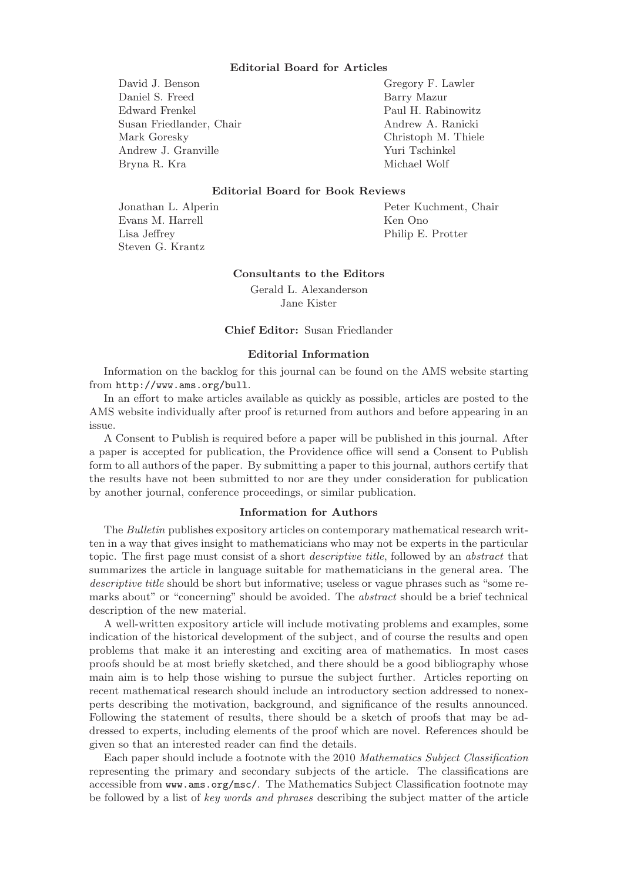### **Editorial Board for Articles**

David J. Benson Daniel S. Freed Edward Frenkel Susan Friedlander, Chair Mark Goresky Andrew J. Granville Bryna R. Kra

Gregory F. Lawler Barry Mazur Paul H. Rabinowitz Andrew A. Ranicki Christoph M. Thiele Yuri Tschinkel Michael Wolf

### **Editorial Board for Book Reviews**

Jonathan L. Alperin Evans M. Harrell Lisa Jeffrey Steven G. Krantz

Peter Kuchment, Chair Ken Ono Philip E. Protter

## **Consultants to the Editors**

Gerald L. Alexanderson Jane Kister

**Chief Editor:** Susan Friedlander

#### **Editorial Information**

Information on the backlog for this journal can be found on the AMS website starting from http://www.ams.org/bull.

In an effort to make articles available as quickly as possible, articles are posted to the AMS website individually after proof is returned from authors and before appearing in an issue.

A Consent to Publish is required before a paper will be published in this journal. After a paper is accepted for publication, the Providence office will send a Consent to Publish form to all authors of the paper. By submitting a paper to this journal, authors certify that the results have not been submitted to nor are they under consideration for publication by another journal, conference proceedings, or similar publication.

### **Information for Authors**

The Bulletin publishes expository articles on contemporary mathematical research written in a way that gives insight to mathematicians who may not be experts in the particular topic. The first page must consist of a short *descriptive title*, followed by an *abstract* that summarizes the article in language suitable for mathematicians in the general area. The descriptive title should be short but informative; useless or vague phrases such as "some remarks about" or "concerning" should be avoided. The *abstract* should be a brief technical description of the new material.

A well-written expository article will include motivating problems and examples, some indication of the historical development of the subject, and of course the results and open problems that make it an interesting and exciting area of mathematics. In most cases proofs should be at most briefly sketched, and there should be a good bibliography whose main aim is to help those wishing to pursue the subject further. Articles reporting on recent mathematical research should include an introductory section addressed to nonexperts describing the motivation, background, and significance of the results announced. Following the statement of results, there should be a sketch of proofs that may be addressed to experts, including elements of the proof which are novel. References should be given so that an interested reader can find the details.

Each paper should include a footnote with the 2010 Mathematics Subject Classification representing the primary and secondary subjects of the article. The classifications are accessible from www.ams.org/msc/. The Mathematics Subject Classification footnote may be followed by a list of key words and phrases describing the subject matter of the article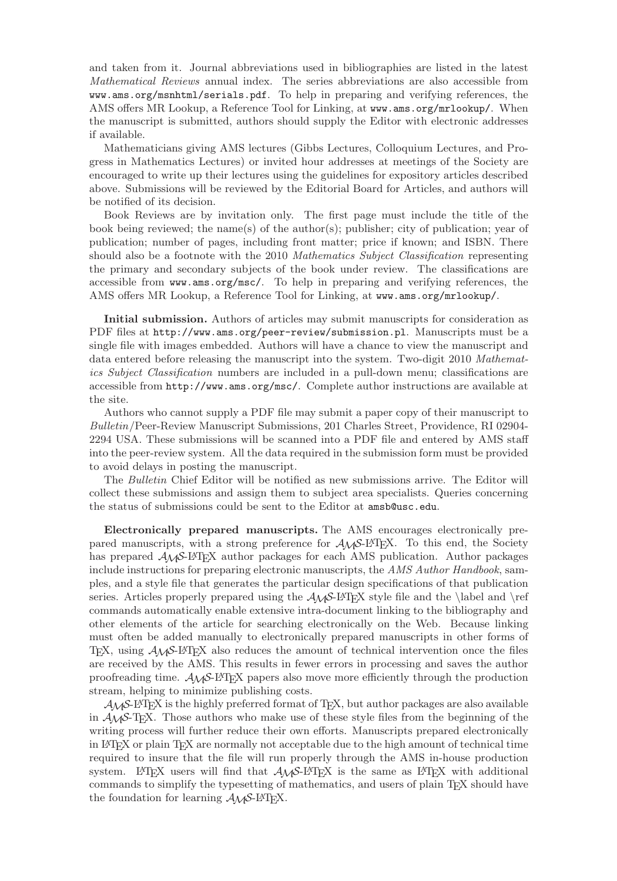and taken from it. Journal abbreviations used in bibliographies are listed in the latest Mathematical Reviews annual index. The series abbreviations are also accessible from www.ams.org/msnhtml/serials.pdf. To help in preparing and verifying references, the AMS offers MR Lookup, a Reference Tool for Linking, at www.ams.org/mrlookup/. When the manuscript is submitted, authors should supply the Editor with electronic addresses if available.

Mathematicians giving AMS lectures (Gibbs Lectures, Colloquium Lectures, and Progress in Mathematics Lectures) or invited hour addresses at meetings of the Society are encouraged to write up their lectures using the guidelines for expository articles described above. Submissions will be reviewed by the Editorial Board for Articles, and authors will be notified of its decision.

Book Reviews are by invitation only. The first page must include the title of the book being reviewed; the name(s) of the author(s); publisher; city of publication; year of publication; number of pages, including front matter; price if known; and ISBN. There should also be a footnote with the 2010 Mathematics Subject Classification representing the primary and secondary subjects of the book under review. The classifications are accessible from www.ams.org/msc/. To help in preparing and verifying references, the AMS offers MR Lookup, a Reference Tool for Linking, at www.ams.org/mrlookup/.

**Initial submission.** Authors of articles may submit manuscripts for consideration as PDF files at http://www.ams.org/peer-review/submission.pl. Manuscripts must be a single file with images embedded. Authors will have a chance to view the manuscript and data entered before releasing the manuscript into the system. Two-digit 2010 Mathematics Subject Classification numbers are included in a pull-down menu; classifications are accessible from http://www.ams.org/msc/. Complete author instructions are available at the site.

Authors who cannot supply a PDF file may submit a paper copy of their manuscript to Bulletin/Peer-Review Manuscript Submissions, 201 Charles Street, Providence, RI 02904- 2294 USA. These submissions will be scanned into a PDF file and entered by AMS staff into the peer-review system. All the data required in the submission form must be provided to avoid delays in posting the manuscript.

The Bulletin Chief Editor will be notified as new submissions arrive. The Editor will collect these submissions and assign them to subject area specialists. Queries concerning the status of submissions could be sent to the Editor at amsb@usc.edu.

**Electronically prepared manuscripts.** The AMS encourages electronically prepared manuscripts, with a strong preference for  $A_{\mathcal{M}}S$ -L<sup>A</sup>T<sub>E</sub>X. To this end, the Society has prepared  $A_{\mathcal{M}}S$ -L<sup>A</sup>T<sub>E</sub>X author packages for each AMS publication. Author packages include instructions for preparing electronic manuscripts, the AMS Author Handbook, samples, and a style file that generates the particular design specifications of that publication series. Articles properly prepared using the  $\mathcal{A}_{\mathcal{A}}$  style file and the \label and \ref commands automatically enable extensive intra-document linking to the bibliography and other elements of the article for searching electronically on the Web. Because linking must often be added manually to electronically prepared manuscripts in other forms of  $T_{F}X$ , using  $A_{M}S$ -L<sup>A</sup>T<sub>E</sub>X also reduces the amount of technical intervention once the files are received by the AMS. This results in fewer errors in processing and saves the author proofreading time.  $A_{\mathcal{M}}S$ -L<sup>A</sup>T<sub>E</sub>X papers also move more efficiently through the production stream, helping to minimize publishing costs.

 $A_{\mathcal{M}}\mathcal{S}\text{-ETr}[X]$  is the highly preferred format of T<sub>E</sub>X, but author packages are also available in  $A_{\mathcal{M}}S$ -T<sub>E</sub>X. Those authors who make use of these style files from the beginning of the writing process will further reduce their own efforts. Manuscripts prepared electronically in LATEX or plain TEX are normally not acceptable due to the high amount of technical time required to insure that the file will run properly through the AMS in-house production system. LAT<sub>EX</sub> users will find that  $A_{\mathcal{M}}S$ -LAT<sub>EX</sub> is the same as LAT<sub>EX</sub> with additional commands to simplify the typesetting of mathematics, and users of plain T<sub>EX</sub> should have the foundation for learning  $A_{\mathcal{M}}S$ -L<sup>A</sup>T<sub>E</sub>X.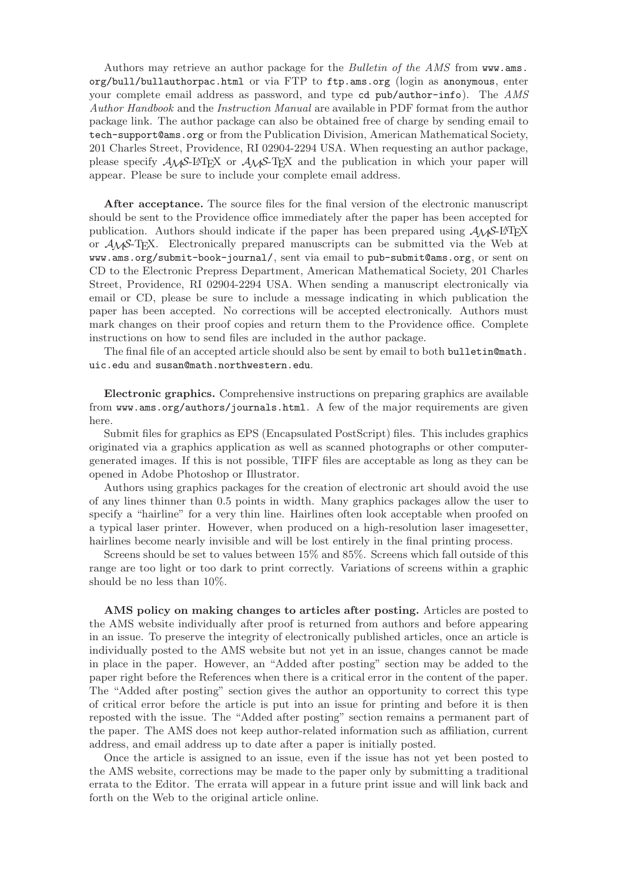Authors may retrieve an author package for the *Bulletin of the AMS* from www.ams. org/bull/bullauthorpac.html or via FTP to ftp.ams.org (login as anonymous, enter your complete email address as password, and type cd pub/author-info). The AMS Author Handbook and the Instruction Manual are available in PDF format from the author package link. The author package can also be obtained free of charge by sending email to tech-support@ams.org or from the Publication Division, American Mathematical Society, 201 Charles Street, Providence, RI 02904-2294 USA. When requesting an author package, please specify  $A_{\mathcal{M}}\mathcal{S}\text{-}F_{\mathcal{E}}\mathcal{X}$  or  $A_{\mathcal{M}}\mathcal{S}\text{-}F_{\mathcal{E}}\mathcal{X}$  and the publication in which your paper will appear. Please be sure to include your complete email address.

After acceptance. The source files for the final version of the electronic manuscript should be sent to the Providence office immediately after the paper has been accepted for publication. Authors should indicate if the paper has been prepared using  $\mathcal{A}\mathcal{A}\mathcal{S}\text{-}E\text{T}F\text{X}$ or AMS-TEX. Electronically prepared manuscripts can be submitted via the Web at www.ams.org/submit-book-journal/, sent via email to pub-submit@ams.org, or sent on CD to the Electronic Prepress Department, American Mathematical Society, 201 Charles Street, Providence, RI 02904-2294 USA. When sending a manuscript electronically via email or CD, please be sure to include a message indicating in which publication the paper has been accepted. No corrections will be accepted electronically. Authors must mark changes on their proof copies and return them to the Providence office. Complete instructions on how to send files are included in the author package.

The final file of an accepted article should also be sent by email to both bulletin@math. uic.edu and susan@math.northwestern.edu.

**Electronic graphics.** Comprehensive instructions on preparing graphics are available from www.ams.org/authors/journals.html. A few of the major requirements are given here.

Submit files for graphics as EPS (Encapsulated PostScript) files. This includes graphics originated via a graphics application as well as scanned photographs or other computergenerated images. If this is not possible, TIFF files are acceptable as long as they can be opened in Adobe Photoshop or Illustrator.

Authors using graphics packages for the creation of electronic art should avoid the use of any lines thinner than 0.5 points in width. Many graphics packages allow the user to specify a "hairline" for a very thin line. Hairlines often look acceptable when proofed on a typical laser printer. However, when produced on a high-resolution laser imagesetter, hairlines become nearly invisible and will be lost entirely in the final printing process.

Screens should be set to values between 15% and 85%. Screens which fall outside of this range are too light or too dark to print correctly. Variations of screens within a graphic should be no less than 10%.

**AMS policy on making changes to articles after posting.** Articles are posted to the AMS website individually after proof is returned from authors and before appearing in an issue. To preserve the integrity of electronically published articles, once an article is individually posted to the AMS website but not yet in an issue, changes cannot be made in place in the paper. However, an "Added after posting" section may be added to the paper right before the References when there is a critical error in the content of the paper. The "Added after posting" section gives the author an opportunity to correct this type of critical error before the article is put into an issue for printing and before it is then reposted with the issue. The "Added after posting" section remains a permanent part of the paper. The AMS does not keep author-related information such as affiliation, current address, and email address up to date after a paper is initially posted.

Once the article is assigned to an issue, even if the issue has not yet been posted to the AMS website, corrections may be made to the paper only by submitting a traditional errata to the Editor. The errata will appear in a future print issue and will link back and forth on the Web to the original article online.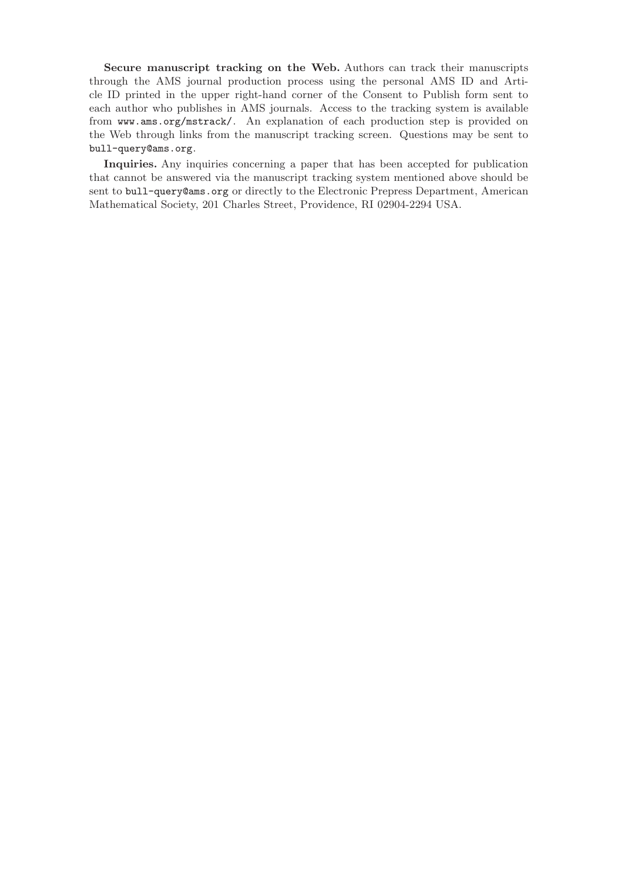**Secure manuscript tracking on the Web.** Authors can track their manuscripts through the AMS journal production process using the personal AMS ID and Article ID printed in the upper right-hand corner of the Consent to Publish form sent to each author who publishes in AMS journals. Access to the tracking system is available from www.ams.org/mstrack/. An explanation of each production step is provided on the Web through links from the manuscript tracking screen. Questions may be sent to bull-query@ams.org.

**Inquiries.** Any inquiries concerning a paper that has been accepted for publication that cannot be answered via the manuscript tracking system mentioned above should be sent to bull-query@ams.org or directly to the Electronic Prepress Department, American Mathematical Society, 201 Charles Street, Providence, RI 02904-2294 USA.